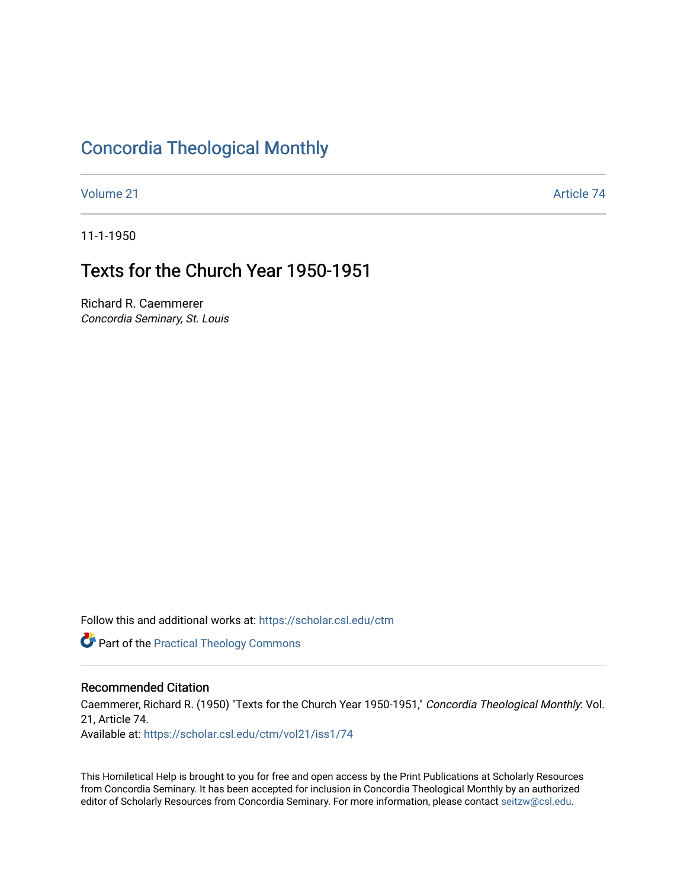# [Concordia Theological Monthly](https://scholar.csl.edu/ctm)

[Volume 21](https://scholar.csl.edu/ctm/vol21) Article 74

11-1-1950

# Texts for the Church Year 1950-1951

Richard R. Caemmerer Concordia Seminary, St. Louis

Follow this and additional works at: [https://scholar.csl.edu/ctm](https://scholar.csl.edu/ctm?utm_source=scholar.csl.edu%2Fctm%2Fvol21%2Fiss1%2F74&utm_medium=PDF&utm_campaign=PDFCoverPages)

**Part of the [Practical Theology Commons](https://network.bepress.com/hgg/discipline/1186?utm_source=scholar.csl.edu%2Fctm%2Fvol21%2Fiss1%2F74&utm_medium=PDF&utm_campaign=PDFCoverPages)** 

## Recommended Citation

Caemmerer, Richard R. (1950) "Texts for the Church Year 1950-1951," Concordia Theological Monthly: Vol. 21, Article 74.

Available at: [https://scholar.csl.edu/ctm/vol21/iss1/74](https://scholar.csl.edu/ctm/vol21/iss1/74?utm_source=scholar.csl.edu%2Fctm%2Fvol21%2Fiss1%2F74&utm_medium=PDF&utm_campaign=PDFCoverPages) 

This Homiletical Help is brought to you for free and open access by the Print Publications at Scholarly Resources from Concordia Seminary. It has been accepted for inclusion in Concordia Theological Monthly by an authorized editor of Scholarly Resources from Concordia Seminary. For more information, please contact [seitzw@csl.edu](mailto:seitzw@csl.edu).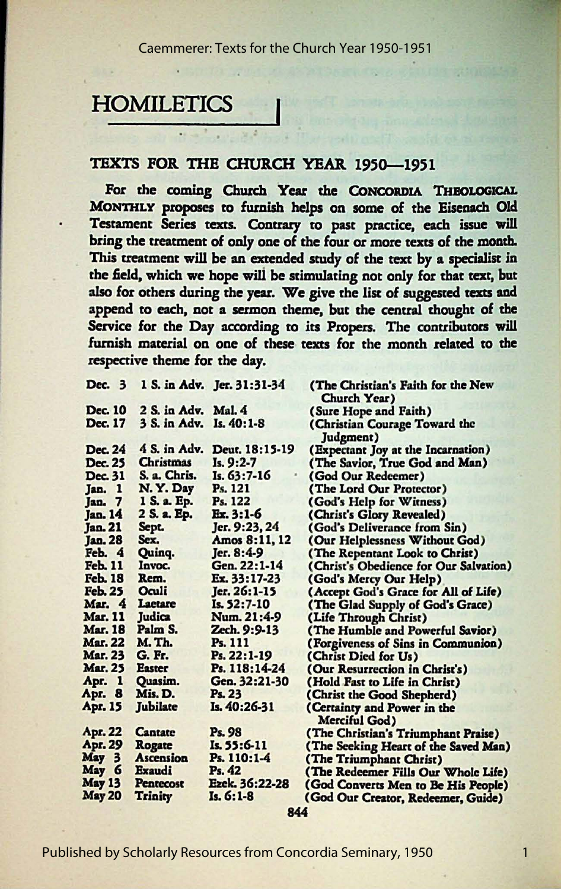## **HOMILETICS**

### TEXTS FOR THE CHURCH YEAR 1950-1951

For the coming Church Year the CONCORDIA THEOLOGICAL MONTHLY proposes to furnish helps on some of the Eisenach Old Testament Series texts. Contrary to past practice, each issue will bring the treatment of only one of the four or more texts of the month. This treatment will be an extended study of the *text* by a specialist in the field, which we hope wili be stimulating not only for that rext, but also for others during the year. We give the list of suggested *texts* and append *to* each, not a sermon theme, but the central thought of the Service for the Day according to its Propers. The contributors will furnish material on one of these texts for the month related *to* the respective theme for the day.

| Dec. 3         |                     | 1 S. in Adv. Jer. 31:31-34 | (The Christian's Faith for the New         |
|----------------|---------------------|----------------------------|--------------------------------------------|
|                |                     |                            | Church Year)                               |
| Dec. 10        | 2 S. in Adv. Mal. 4 |                            | (Sure Hope and Faith)                      |
| Dec. 17        | 3 S. in Adv.        | $Is. 40:1-8$               | (Christian Courage Toward the<br>Judgment) |
| <b>Dec. 24</b> | 4 S. in Adv.        | Deut. 18:15-19             | (Expectant Joy at the Incarnation)         |
| Dec. 25        | <b>Christmas</b>    | $Is. 9:2-7$                | (The Savior, True God and Man)             |
| Dec. 31        | S. a. Chris.        | Is. 63:7-16                | (God Our Redeemer)                         |
| Jan. 1         | N.Y. Day            | Ps. 121                    | (The Lord Our Protector)                   |
| Jan. 7         | 1 S. a. Ep.         | Ps. 122                    | (God's Help for Witness)                   |
| <b>Jan. 14</b> | 2 S. a. Ep.         | Ex. 3:1-6                  | (Christ's Glory Revealed)                  |
| <b>Jan. 21</b> | Sept.               | Jer. 9:23, 24              | (God's Deliverance from Sin)               |
| <b>Jan. 28</b> | Sex.                | Amos 8:11, 12              | (Our Helplessness Without God)             |
| Feb. 4         | Quinq.              | Jer. 8:4-9                 | (The Repentant Look to Christ)             |
| <b>Feb. 11</b> | Invoc.              | Gen. 22:1-14               | (Christ's Obedience for Our Salvation)     |
| <b>Feb. 18</b> | Rem.                | Ex. 33:17-23               | (God's Mercy Our Help)                     |
| <b>Feb. 25</b> | Oculi               | Jer. 26:1-15               | (Accept God's Grace for All of Life)       |
| Mar. 4         | Laetare             | Is. 52:7-10                | (The Glad Supply of God's Grace)           |
| <b>Mar. 11</b> | Judica              | Num. 21:4-9                | (Life Through Christ)                      |
| <b>Mar. 18</b> | Palm S.             | Zech. 9:9-13               | (The Humble and Powerful Savior)           |
| <b>Mar. 22</b> | M. Th.              | Ps. 111                    | (Forgiveness of Sins in Communion)         |
| <b>Mar. 23</b> | G. Fr.              | Ps. 22:1-19                | (Christ Died for Us)                       |
| <b>Mar. 25</b> | <b>Easter</b>       | Ps. 118:14-24              | (Our Resurrection in Christ's)             |
| Apr. 1         | Quasim.             | Gen. 32:21-30              | (Hold Fast to Life in Christ)              |
| Apr. 8         | Mis. D.             | Ps. 23                     | (Christ the Good Shepherd)                 |
| Apr. 15        | Jubilate            | Is. 40:26-31               | (Certainty and Power in the                |
|                |                     |                            | Merciful God)                              |
| Apr. 22        | <b>Cantate</b>      | Ps. 98                     | (The Christian's Triumphant Praise)        |
| Apr. 29        | Rogate              | Is. 55:6-11                | (The Seeking Heart of the Saved Man)       |
| May 3          | <b>Ascension</b>    | Ps. 110:1-4                | (The Triumphant Christ)                    |
| May 6          | Exaudi              | Ps. 42                     | (The Redeemer Fills Our Whole Life)        |
| <b>May 13</b>  | <b>Pentecost</b>    | Ezek. 36:22-28             | (God Converts Men to Be His People)        |
| <b>May 20</b>  | <b>Trinity</b>      | $Is. 6:1-8$                | (God Our Creator, Redeemer, Guide)         |
|                |                     |                            |                                            |

844

1

Published by Scholarly Resources from Concordia Seminary, 1950